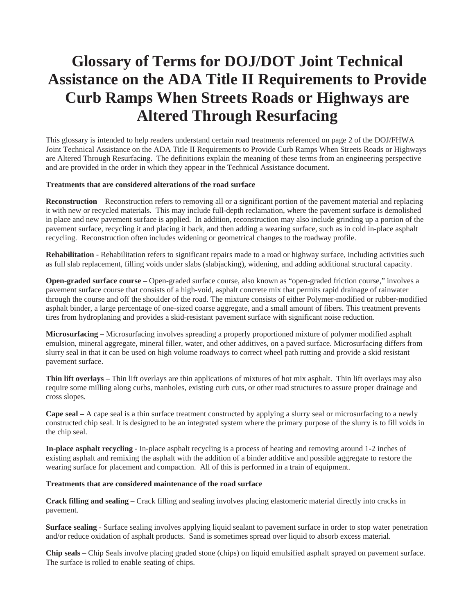## **Glossary of Terms for DOJ/DOT Joint Technical Assistance on the ADA Title II Requirements to Provide Curb Ramps When Streets Roads or Highways are Altered Through Resurfacing**

This glossary is intended to help readers understand certain road treatments referenced on page 2 of the DOJ/FHWA Joint Technical Assistance on the ADA Title II Requirements to Provide Curb Ramps When Streets Roads or Highways are Altered Through Resurfacing. The definitions explain the meaning of these terms from an engineering perspective and are provided in the order in which they appear in the Technical Assistance document.

## **Treatments that are considered alterations of the road surface**

**Reconstruction** – Reconstruction refers to removing all or a significant portion of the pavement material and replacing it with new or recycled materials. This may include full-depth reclamation, where the pavement surface is demolished in place and new pavement surface is applied. In addition, reconstruction may also include grinding up a portion of the pavement surface, recycling it and placing it back, and then adding a wearing surface, such as in cold in-place asphalt recycling. Reconstruction often includes widening or geometrical changes to the roadway profile.

**Rehabilitation** - Rehabilitation refers to significant repairs made to a road or highway surface, including activities such as full slab replacement, filling voids under slabs (slabjacking), widening, and adding additional structural capacity.

**Open-graded surface course** – Open-graded surface course, also known as "open-graded friction course," involves a pavement surface course that consists of a high-void, asphalt concrete mix that permits rapid drainage of rainwater through the course and off the shoulder of the road. The mixture consists of either Polymer-modified or rubber-modified asphalt binder, a large percentage of one-sized coarse aggregate, and a small amount of fibers. This treatment prevents tires from hydroplaning and provides a skid-resistant pavement surface with significant noise reduction.

**Microsurfacing** – Microsurfacing involves spreading a properly proportioned mixture of polymer modified asphalt emulsion, mineral aggregate, mineral filler, water, and other additives, on a paved surface. Microsurfacing differs from slurry seal in that it can be used on high volume roadways to correct wheel path rutting and provide a skid resistant pavement surface.

**Thin lift overlays** – Thin lift overlays are thin applications of mixtures of hot mix asphalt. Thin lift overlays may also require some milling along curbs, manholes, existing curb cuts, or other road structures to assure proper drainage and cross slopes.

**Cape seal** – A cape seal is a thin surface treatment constructed by applying a slurry seal or microsurfacing to a newly constructed chip seal. It is designed to be an integrated system where the primary purpose of the slurry is to fill voids in the chip seal.

**In-place asphalt recycling** - In-place asphalt recycling is a process of heating and removing around 1-2 inches of existing asphalt and remixing the asphalt with the addition of a binder additive and possible aggregate to restore the wearing surface for placement and compaction. All of this is performed in a train of equipment.

## **Treatments that are considered maintenance of the road surface**

**Crack filling and sealing** – Crack filling and sealing involves placing elastomeric material directly into cracks in pavement.

**Surface sealing** - Surface sealing involves applying liquid sealant to pavement surface in order to stop water penetration and/or reduce oxidation of asphalt products. Sand is sometimes spread over liquid to absorb excess material.

**Chip seals** – Chip Seals involve placing graded stone (chips) on liquid emulsified asphalt sprayed on pavement surface. The surface is rolled to enable seating of chips.